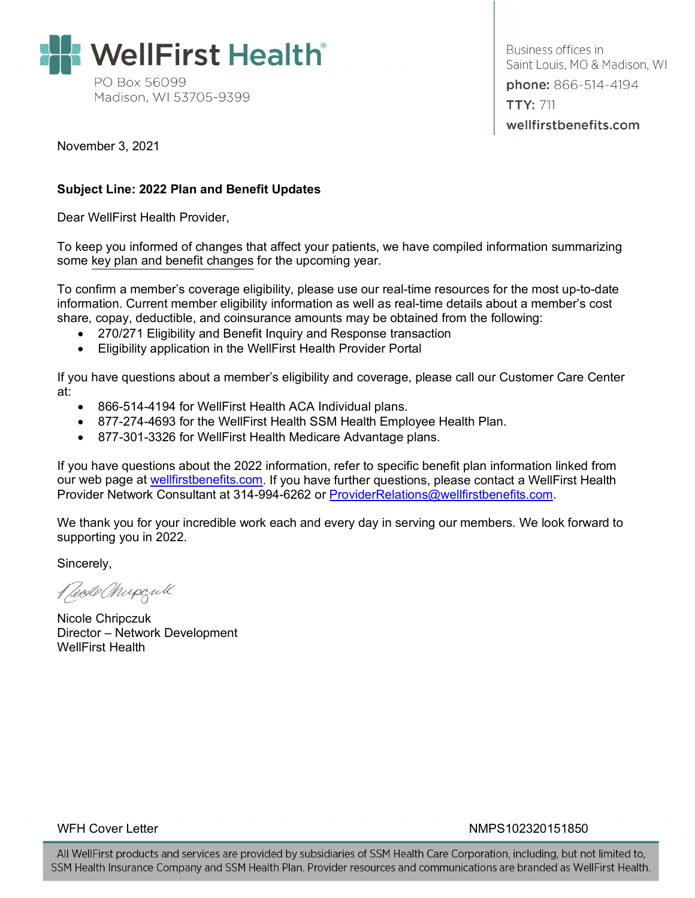

Business offices in Saint Louis, MO & Madison, WI phone: 866-514-4194 **TTY: 711** wellfirstbenefits.com

November 3, 2021

#### **Subject Line: 2022 Plan and Benefit Updates**

Dear WellFirst Health Provider,

To keep you informed of changes that affect your patients, we have compiled information summarizing some key plan and benefit changes for the upcoming year.

To confirm a member's coverage eligibility, please use our real-time resources for the most up-to-date information. Current member eligibility information as well as real-time details about a member's cost share, copay, deductible, and coinsurance amounts may be obtained from the following:

- 270/271 Eligibility and Benefit Inquiry and Response transaction
- Eligibility application in the WellFirst Health Provider Portal

If you have questions about a member's eligibility and coverage, please call our Customer Care Center at:

- 866-514-4194 for WellFirst Health ACA Individual plans.
- 877-274-4693 for the WellFirst Health SSM Health Employee Health Plan.
- 877-301-3326 for WellFirst Health Medicare Advantage plans.

If you have questions about the 2022 information, refer to specific benefit plan information linked from our web page at [wellfirstbenefits.com.](https://wellfirstbenefits.com/) If you have further questions, please contact a WellFirst Health Provider Network Consultant at 314-994-6262 or [ProviderRelations@wellfirstbenefits.com.](mailto:ProviderRelations@wellfirstbenefits.com)

We thank you for your incredible work each and every day in serving our members. We look forward to supporting you in 2022.

Sincerely,

Reode Chupgull

Nicole Chripczuk Director – Network Development WellFirst Health

WFH Cover Letter NMPS102320151850

All WellFirst products and services are provided by subsidiaries of SSM Health Care Corporation, including, but not limited to, SSM Health Insurance Company and SSM Health Plan. Provider resources and communications are branded as WellFirst Health.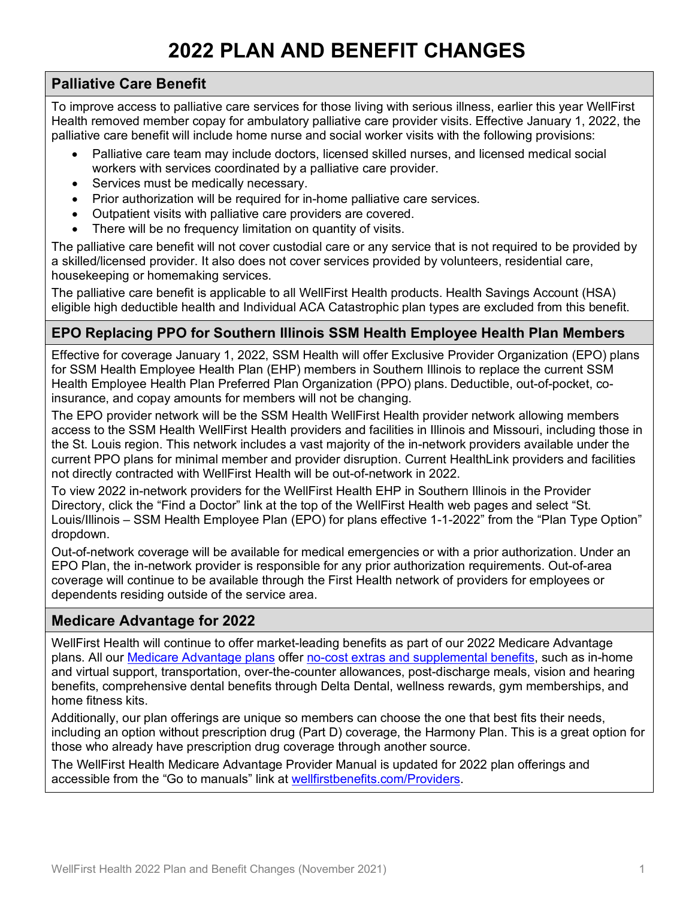# **2022 PLAN AND BENEFIT CHANGES**

#### **Palliative Care Benefit**

To improve access to palliative care services for those living with serious illness, earlier this year WellFirst Health removed member copay for ambulatory palliative care provider visits. Effective January 1, 2022, the palliative care benefit will include home nurse and social worker visits with the following provisions:

- Palliative care team may include doctors, licensed skilled nurses, and licensed medical social workers with services coordinated by a palliative care provider.
- Services must be medically necessary.
- Prior authorization will be required for in-home palliative care services.
- Outpatient visits with palliative care providers are covered.
- There will be no frequency limitation on quantity of visits.

The palliative care benefit will not cover custodial care or any service that is not required to be provided by a skilled/licensed provider. It also does not cover services provided by volunteers, residential care, housekeeping or homemaking services.

The palliative care benefit is applicable to all WellFirst Health products. Health Savings Account (HSA) eligible high deductible health and Individual ACA Catastrophic plan types are excluded from this benefit.

#### **EPO Replacing PPO for Southern Illinois SSM Health Employee Health Plan Members**

Effective for coverage January 1, 2022, SSM Health will offer Exclusive Provider Organization (EPO) plans for SSM Health Employee Health Plan (EHP) members in Southern Illinois to replace the current SSM Health Employee Health Plan Preferred Plan Organization (PPO) plans. Deductible, out-of-pocket, coinsurance, and copay amounts for members will not be changing.

The EPO provider network will be the SSM Health WellFirst Health provider network allowing members access to the SSM Health WellFirst Health providers and facilities in Illinois and Missouri, including those in the St. Louis region. This network includes a vast majority of the in-network providers available under the current PPO plans for minimal member and provider disruption. Current HealthLink providers and facilities not directly contracted with WellFirst Health will be out-of-network in 2022.

To view 2022 in-network providers for the WellFirst Health EHP in Southern Illinois in the Provider Directory, click the "Find a Doctor" link at the top of the WellFirst Health web pages and select "St. Louis/Illinois – SSM Health Employee Plan (EPO) for plans effective 1-1-2022" from the "Plan Type Option" dropdown.

Out-of-network coverage will be available for medical emergencies or with a prior authorization. Under an EPO Plan, the in-network provider is responsible for any prior authorization requirements. Out-of-area coverage will continue to be available through the First Health network of providers for employees or dependents residing outside of the service area.

#### **Medicare Advantage for 2022**

WellFirst Health will continue to offer market-leading benefits as part of our 2022 Medicare Advantage plans. All our [Medicare Advantage plans](https://www.wellfirsthealth.com/Medicare/Advantage-members) offer [no-cost extras and supplemental benefits,](https://www.wellfirsthealth.com/Medicare/Advantage-members/Additional-benefits-2022) such as in-home and virtual support, transportation, over-the-counter allowances, post-discharge meals, vision and hearing benefits, comprehensive dental benefits through Delta Dental, wellness rewards, gym memberships, and home fitness kits.

Additionally, our plan offerings are unique so members can choose the one that best fits their needs, including an option without prescription drug (Part D) coverage, the Harmony Plan. This is a great option for those who already have prescription drug coverage through another source.

The WellFirst Health Medicare Advantage Provider Manual is updated for 2022 plan offerings and accessible from the "Go to manuals" link at [wellfirstbenefits.com/Providers.](https://wellfirstbenefits.com/Providers)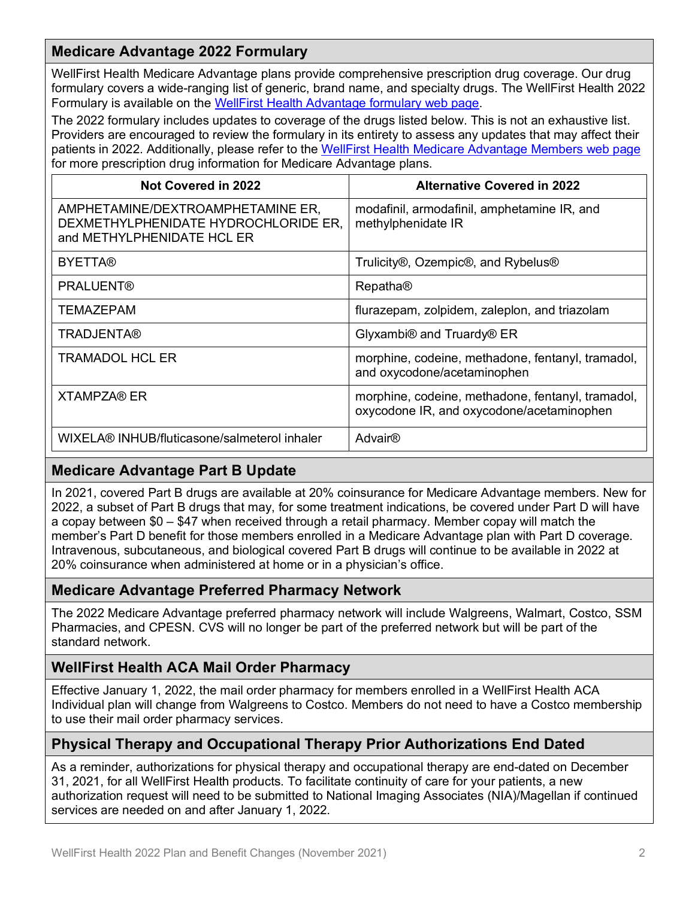## **Medicare Advantage 2022 Formulary**

WellFirst Health Medicare Advantage plans provide comprehensive prescription drug coverage. Our drug formulary covers a wide-ranging list of generic, brand name, and specialty drugs. The WellFirst Health 2022 Formulary is available on the [WellFirst Health Advantage formulary web page.](https://www.wellfirsthealth.com/Medicare/Medicare-Advantage-part-D-pharmacy-benefits/Medicare-Advantage-formulary)

The 2022 formulary includes updates to coverage of the drugs listed below. This is not an exhaustive list. Providers are encouraged to review the formulary in its entirety to assess any updates that may affect their patients in 2022. Additionally, please refer to the [WellFirst Health Medicare Advantage](https://www.wellfirsthealth.com/Medicare/Advantage-members) Members web page for more prescription drug information for Medicare Advantage plans.

| <b>Not Covered in 2022</b>                                                                              | <b>Alternative Covered in 2022</b>                                                             |
|---------------------------------------------------------------------------------------------------------|------------------------------------------------------------------------------------------------|
| AMPHETAMINE/DEXTROAMPHETAMINE ER,<br>DEXMETHYLPHENIDATE HYDROCHLORIDE ER,<br>and METHYLPHENIDATE HCL ER | modafinil, armodafinil, amphetamine IR, and<br>methylphenidate IR                              |
| <b>BYETTA®</b>                                                                                          | Trulicity®, Ozempic®, and Rybelus®                                                             |
| <b>PRALUENT®</b>                                                                                        | <b>Repatha®</b>                                                                                |
| <b>TEMAZEPAM</b>                                                                                        | flurazepam, zolpidem, zaleplon, and triazolam                                                  |
| <b>TRADJENTA®</b>                                                                                       | Glyxambi <sup>®</sup> and Truardy <sup>®</sup> ER                                              |
| <b>TRAMADOL HCL ER</b>                                                                                  | morphine, codeine, methadone, fentanyl, tramadol,<br>and oxycodone/acetaminophen               |
| XTAMPZA® ER                                                                                             | morphine, codeine, methadone, fentanyl, tramadol,<br>oxycodone IR, and oxycodone/acetaminophen |
| WIXELA® INHUB/fluticasone/salmeterol inhaler                                                            | <b>Advair<sup>®</sup></b>                                                                      |

## **Medicare Advantage Part B Update**

In 2021, covered Part B drugs are available at 20% coinsurance for Medicare Advantage members. New for 2022, a subset of Part B drugs that may, for some treatment indications, be covered under Part D will have a copay between \$0 – \$47 when received through a retail pharmacy. Member copay will match the member's Part D benefit for those members enrolled in a Medicare Advantage plan with Part D coverage. Intravenous, subcutaneous, and biological covered Part B drugs will continue to be available in 2022 at 20% coinsurance when administered at home or in a physician's office.

#### **Medicare Advantage Preferred Pharmacy Network**

The 2022 Medicare Advantage preferred pharmacy network will include Walgreens, Walmart, Costco, SSM Pharmacies, and CPESN. CVS will no longer be part of the preferred network but will be part of the standard network.

#### **WellFirst Health ACA Mail Order Pharmacy**

Effective January 1, 2022, the mail order pharmacy for members enrolled in a WellFirst Health ACA Individual plan will change from Walgreens to Costco. Members do not need to have a Costco membership to use their mail order pharmacy services.

#### **Physical Therapy and Occupational Therapy Prior Authorizations End Dated**

As a reminder, authorizations for physical therapy and occupational therapy are end-dated on December 31, 2021, for all WellFirst Health products. To facilitate continuity of care for your patients, a new authorization request will need to be submitted to National Imaging Associates (NIA)/Magellan if continued services are needed on and after January 1, 2022.